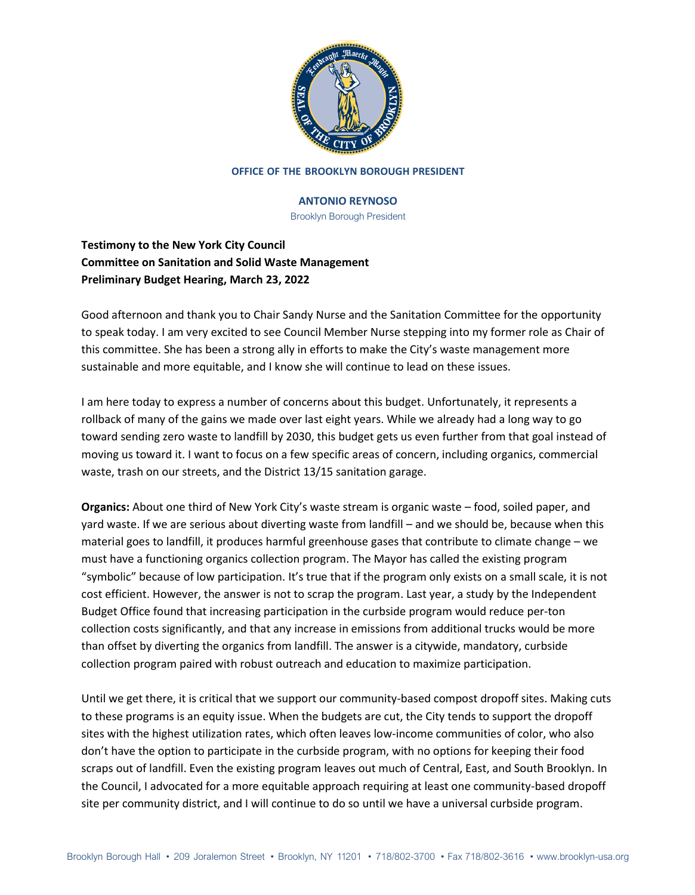

#### **OFFICE OF THE BROOKLYN BOROUGH PRESIDENT**

### **ANTONIO REYNOSO**

Brooklyn Borough President

# **Testimony to the New York City Council Committee on Sanitation and Solid Waste Management Preliminary Budget Hearing, March 23, 2022**

Good afternoon and thank you to Chair Sandy Nurse and the Sanitation Committee for the opportunity to speak today. I am very excited to see Council Member Nurse stepping into my former role as Chair of this committee. She has been a strong ally in efforts to make the City's waste management more sustainable and more equitable, and I know she will continue to lead on these issues.

I am here today to express a number of concerns about this budget. Unfortunately, it represents a rollback of many of the gains we made over last eight years. While we already had a long way to go toward sending zero waste to landfill by 2030, this budget gets us even further from that goal instead of moving us toward it. I want to focus on a few specific areas of concern, including organics, commercial waste, trash on our streets, and the District 13/15 sanitation garage.

**Organics:** About one third of New York City's waste stream is organic waste – food, soiled paper, and yard waste. If we are serious about diverting waste from landfill – and we should be, because when this material goes to landfill, it produces harmful greenhouse gases that contribute to climate change – we must have a functioning organics collection program. The Mayor has called the existing program "symbolic" because of low participation. It's true that if the program only exists on a small scale, it is not cost efficient. However, the answer is not to scrap the program. Last year, a study by the Independent Budget Office found that increasing participation in the curbside program would reduce per-ton collection costs significantly, and that any increase in emissions from additional trucks would be more than offset by diverting the organics from landfill. The answer is a citywide, mandatory, curbside collection program paired with robust outreach and education to maximize participation.

Until we get there, it is critical that we support our community-based compost dropoff sites. Making cuts to these programs is an equity issue. When the budgets are cut, the City tends to support the dropoff sites with the highest utilization rates, which often leaves low-income communities of color, who also don't have the option to participate in the curbside program, with no options for keeping their food scraps out of landfill. Even the existing program leaves out much of Central, East, and South Brooklyn. In the Council, I advocated for a more equitable approach requiring at least one community-based dropoff site per community district, and I will continue to do so until we have a universal curbside program.